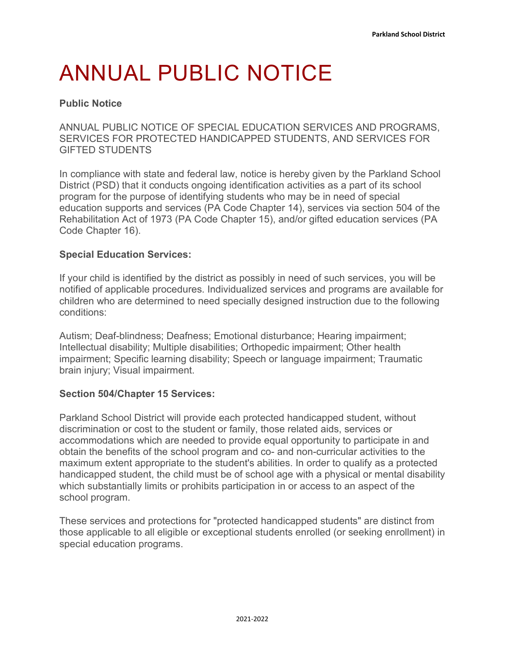# ANNUAL PUBLIC NOTICE

## **Public Notice**

ANNUAL PUBLIC NOTICE OF SPECIAL EDUCATION SERVICES AND PROGRAMS, SERVICES FOR PROTECTED HANDICAPPED STUDENTS, AND SERVICES FOR GIFTED STUDENTS

In compliance with state and federal law, notice is hereby given by the Parkland School District (PSD) that it conducts ongoing identification activities as a part of its school program for the purpose of identifying students who may be in need of special education supports and services (PA Code Chapter 14), services via section 504 of the Rehabilitation Act of 1973 (PA Code Chapter 15), and/or gifted education services (PA Code Chapter 16).

#### **Special Education Services:**

If your child is identified by the district as possibly in need of such services, you will be notified of applicable procedures. Individualized services and programs are available for children who are determined to need specially designed instruction due to the following conditions:

Autism; Deaf-blindness; Deafness; Emotional disturbance; Hearing impairment; Intellectual disability; Multiple disabilities; Orthopedic impairment; Other health impairment; Specific learning disability; Speech or language impairment; Traumatic brain injury; Visual impairment.

### **Section 504/Chapter 15 Services:**

Parkland School District will provide each protected handicapped student, without discrimination or cost to the student or family, those related aids, services or accommodations which are needed to provide equal opportunity to participate in and obtain the benefits of the school program and co- and non-curricular activities to the maximum extent appropriate to the student's abilities. In order to qualify as a protected handicapped student, the child must be of school age with a physical or mental disability which substantially limits or prohibits participation in or access to an aspect of the school program.

These services and protections for "protected handicapped students" are distinct from those applicable to all eligible or exceptional students enrolled (or seeking enrollment) in special education programs.